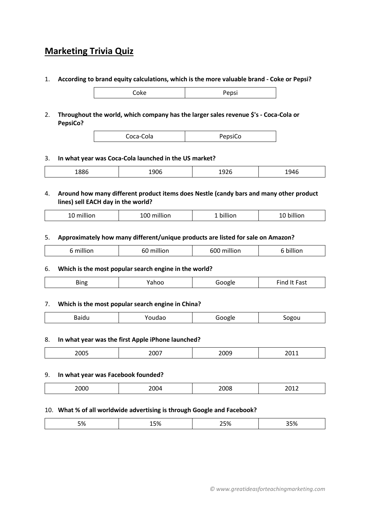# **Marketing Trivia Quiz**

1. **According to brand equity calculations, which is the more valuable brand - Coke or Pepsi?**

|       | rding to brand equity calculations, which is the more valuable brand - Coke o |  |
|-------|-------------------------------------------------------------------------------|--|
| Cokel | Pepsi                                                                         |  |
|       |                                                                               |  |

2. **Throughout the world, which company has the larger sales revenue \$'s - Coca-Cola or PepsiCo?**

|--|

## 3. **In what year was Coca-Cola launched in the US market?**

|--|--|--|--|

# 4. **Around how many different product items does Nestle (candy bars and many other product lines) sell EACH day in the world?**

| $\cdots$<br>. .<br>m.<br>ᅩ | $\cdots$<br>100<br>million | billion | חסוווני |
|----------------------------|----------------------------|---------|---------|
|----------------------------|----------------------------|---------|---------|

# 5. **Approximately how many different/unique products are listed for sale on Amazon?**

| <br>.<br>- --<br>h | <br>$\sim$<br>$-$<br> |  |
|--------------------|-----------------------|--|
|--------------------|-----------------------|--|

## 6. **Which is the most popular search engine in the world?**

## 7. **Which is the most popular search engine in China?**

| . |
|---|
|---|

## 8. **In what year was the first Apple iPhone launched?**

| $\sim$ $\sim$ $\sim$<br>---- |  | $  -$<br>. . | .<br>$-0.1$ |
|------------------------------|--|--------------|-------------|
|------------------------------|--|--------------|-------------|

## 9. **In what year was Facebook founded?**

| - - -<br>$\sim$<br>и в |  | ____ |
|------------------------|--|------|
|------------------------|--|------|

## 10. **What % of all worldwide advertising is through Google and Facebook?**

|--|